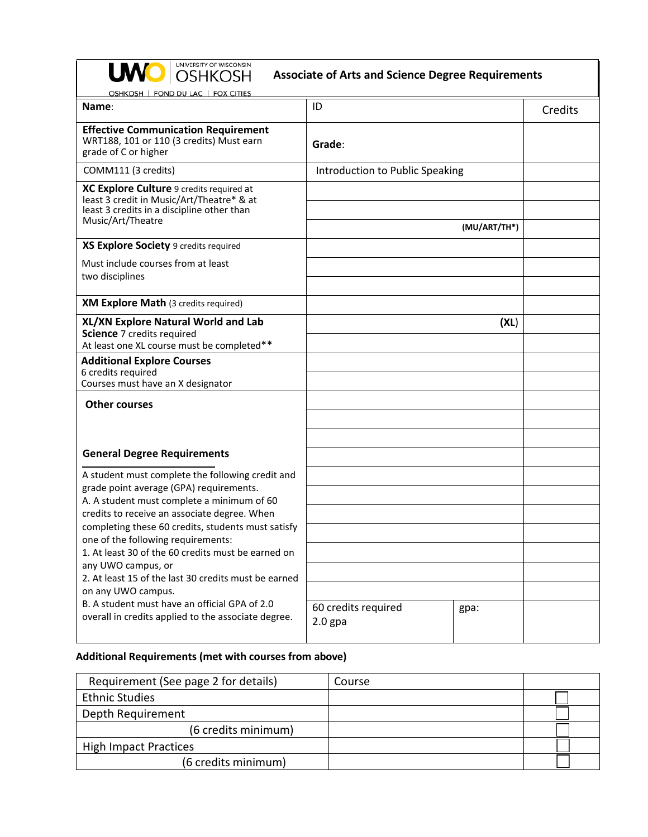| UNIVERSITY OF WISCONSIN<br><b>OSHKOSH</b><br><b>Associate of Arts and Science Degree Requirements</b>                                                                                     |                                          |         |
|-------------------------------------------------------------------------------------------------------------------------------------------------------------------------------------------|------------------------------------------|---------|
| OSHKOSH   FOND DU LAC   FOX CITIES<br>Name:                                                                                                                                               | ID                                       | Credits |
| <b>Effective Communication Requirement</b><br>WRT188, 101 or 110 (3 credits) Must earn<br>grade of C or higher                                                                            | Grade:                                   |         |
| COMM111 (3 credits)                                                                                                                                                                       | Introduction to Public Speaking          |         |
| XC Explore Culture 9 credits required at<br>least 3 credit in Music/Art/Theatre* & at<br>least 3 credits in a discipline other than<br>Music/Art/Theatre                                  | (MU/ART/TH*)                             |         |
| XS Explore Society 9 credits required                                                                                                                                                     |                                          |         |
| Must include courses from at least<br>two disciplines                                                                                                                                     |                                          |         |
| <b>XM Explore Math</b> (3 credits required)                                                                                                                                               |                                          |         |
| XL/XN Explore Natural World and Lab<br>Science 7 credits required<br>At least one XL course must be completed**                                                                           | (XL)                                     |         |
| <b>Additional Explore Courses</b><br>6 credits required<br>Courses must have an X designator                                                                                              |                                          |         |
| <b>Other courses</b>                                                                                                                                                                      |                                          |         |
| <b>General Degree Requirements</b>                                                                                                                                                        |                                          |         |
| A student must complete the following credit and<br>grade point average (GPA) requirements.<br>A. A student must complete a minimum of 60<br>credits to receive an associate degree. When |                                          |         |
|                                                                                                                                                                                           |                                          |         |
| completing these 60 credits, students must satisfy<br>one of the following requirements:                                                                                                  |                                          |         |
| 1. At least 30 of the 60 credits must be earned on<br>any UWO campus, or                                                                                                                  |                                          |         |
| 2. At least 15 of the last 30 credits must be earned                                                                                                                                      |                                          |         |
| on any UWO campus.<br>B. A student must have an official GPA of 2.0<br>overall in credits applied to the associate degree.                                                                | 60 credits required<br>gpa:<br>$2.0$ gpa |         |

# **Additional Requirements (met with courses from above)**

| Requirement (See page 2 for details) | Course |  |
|--------------------------------------|--------|--|
| <b>Ethnic Studies</b>                |        |  |
| Depth Requirement                    |        |  |
| (6 credits minimum)                  |        |  |
| <b>High Impact Practices</b>         |        |  |
| (6 credits minimum)                  |        |  |